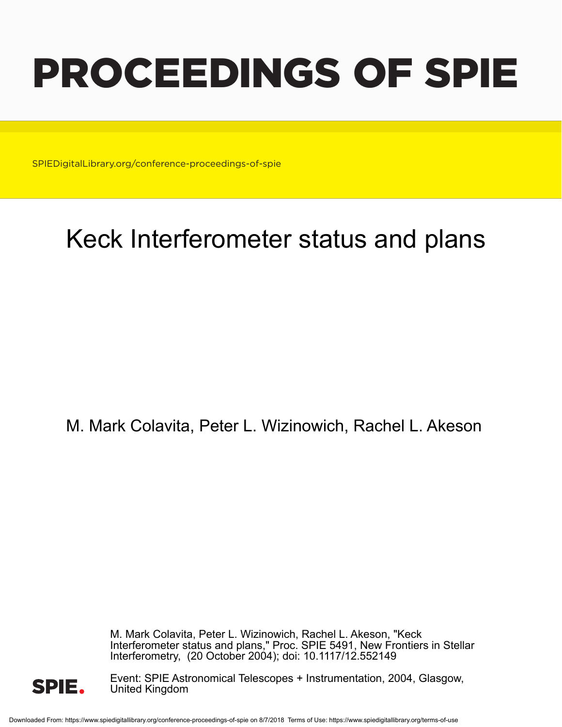# PROCEEDINGS OF SPIE

SPIEDigitalLibrary.org/conference-proceedings-of-spie

# Keck Interferometer status and plans

M. Mark Colavita, Peter L. Wizinowich, Rachel L. Akeson

M. Mark Colavita, Peter L. Wizinowich, Rachel L. Akeson, "Keck Interferometer status and plans," Proc. SPIE 5491, New Frontiers in Stellar Interferometry, (20 October 2004); doi: 10.1117/12.552149



Event: SPIE Astronomical Telescopes + Instrumentation, 2004, Glasgow, United Kingdom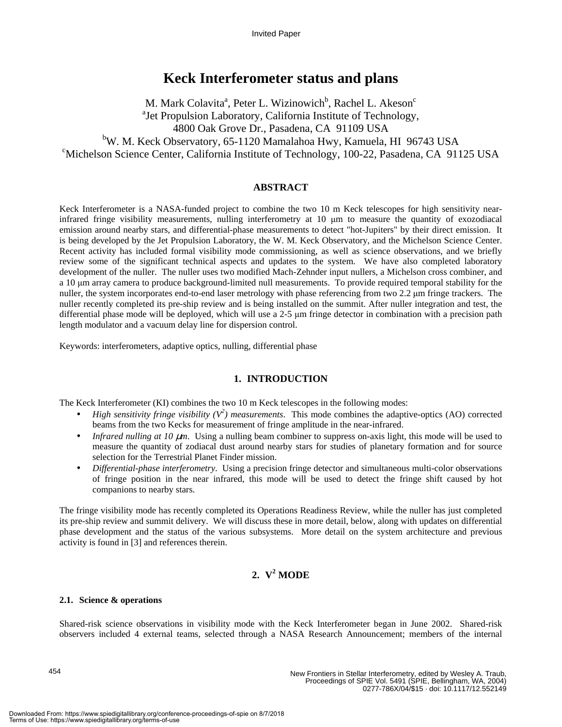## **Keck Interferometer status and plans**

M. Mark Colavita<sup>a</sup>, Peter L. Wizinowich<sup>b</sup>, Rachel L. Akeson<sup>c</sup> <sup>a</sup> Jet Propulsion Laboratory, California Institute of Technology, 4800 Oak Grove Dr., Pasadena, CA 91109 USA <sup>b</sup>W. M. Keck Observatory, 65-1120 Mamalahoa Hwy, Kamuela, HI 96743 USA<br><sup>c</sup>Michelson Science Contar, Celifornia Institute of Technology, 100.22, Besedene, CA, 011 Michelson Science Center, California Institute of Technology, 100-22, Pasadena, CA 91125 USA

#### **ABSTRACT**

Keck Interferometer is a NASA-funded project to combine the two 10 m Keck telescopes for high sensitivity nearinfrared fringe visibility measurements, nulling interferometry at 10 µm to measure the quantity of exozodiacal emission around nearby stars, and differential-phase measurements to detect "hot-Jupiters" by their direct emission. It is being developed by the Jet Propulsion Laboratory, the W. M. Keck Observatory, and the Michelson Science Center. Recent activity has included formal visibility mode commissioning, as well as science observations, and we briefly review some of the significant technical aspects and updates to the system. We have also completed laboratory development of the nuller. The nuller uses two modified Mach-Zehnder input nullers, a Michelson cross combiner, and a 10 µm array camera to produce background-limited null measurements. To provide required temporal stability for the nuller, the system incorporates end-to-end laser metrology with phase referencing from two 2.2  $\mu$ m fringe trackers. The nuller recently completed its pre-ship review and is being installed on the summit. After nuller integration and test, the differential phase mode will be deployed, which will use a 2-5  $\mu$ m fringe detector in combination with a precision path length modulator and a vacuum delay line for dispersion control.

Keywords: interferometers, adaptive optics, nulling, differential phase

#### **1. INTRODUCTION**

The Keck Interferometer (KI) combines the two 10 m Keck telescopes in the following modes:

- *High sensitivity fringe visibility*  $(V^2)$  *measurements*. This mode combines the adaptive-optics (AO) corrected beams from the two Kecks for measurement of fringe amplitude in the near-infrared.
- *Infrared nulling at 10*  $\mu$ *m*. Using a nulling beam combiner to suppress on-axis light, this mode will be used to measure the quantity of zodiacal dust around nearby stars for studies of planetary formation and for source selection for the Terrestrial Planet Finder mission.
- *Differential-phase interferometry*. Using a precision fringe detector and simultaneous multi-color observations of fringe position in the near infrared, this mode will be used to detect the fringe shift caused by hot companions to nearby stars.

The fringe visibility mode has recently completed its Operations Readiness Review, while the nuller has just completed its pre-ship review and summit delivery. We will discuss these in more detail, below, along with updates on differential phase development and the status of the various subsystems. More detail on the system architecture and previous activity is found in [3] and references therein.

### 2.  $V^2$  MODE

#### **2.1. Science & operations**

Shared-risk science observations in visibility mode with the Keck Interferometer began in June 2002. Shared-risk observers included 4 external teams, selected through a NASA Research Announcement; members of the internal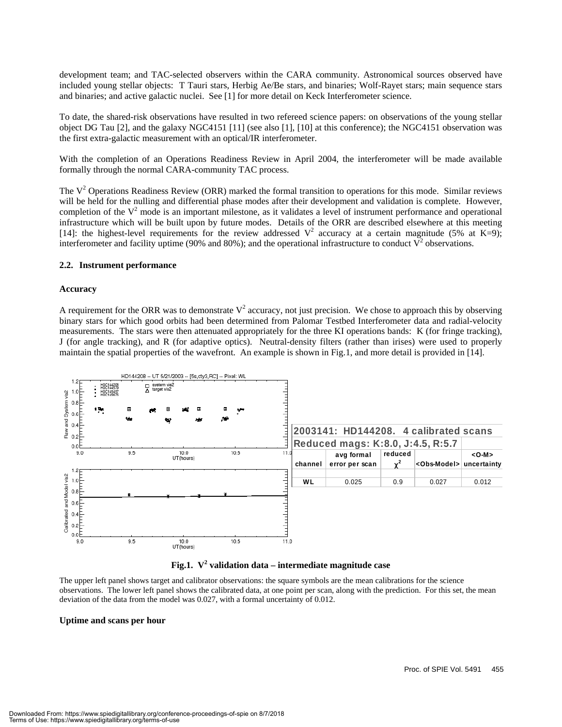development team; and TAC-selected observers within the CARA community. Astronomical sources observed have included young stellar objects: T Tauri stars, Herbig Ae/Be stars, and binaries; Wolf-Rayet stars; main sequence stars and binaries; and active galactic nuclei. See [1] for more detail on Keck Interferometer science.

To date, the shared-risk observations have resulted in two refereed science papers: on observations of the young stellar object DG Tau [2], and the galaxy NGC4151 [11] (see also [1], [10] at this conference); the NGC4151 observation was the first extra-galactic measurement with an optical/IR interferometer.

With the completion of an Operations Readiness Review in April 2004, the interferometer will be made available formally through the normal CARA-community TAC process.

The  $V^2$  Operations Readiness Review (ORR) marked the formal transition to operations for this mode. Similar reviews will be held for the nulling and differential phase modes after their development and validation is complete. However, completion of the  $V^2$  mode is an important milestone, as it validates a level of instrument performance and operational infrastructure which will be built upon by future modes. Details of the ORR are described elsewhere at this meeting [14]: the highest-level requirements for the review addressed  $V^2$  accuracy at a certain magnitude (5% at K=9); interferometer and facility uptime (90% and 80%); and the operational infrastructure to conduct  $V^2$  observations.

#### **2.2. Instrument performance**

#### **Accuracy**

A requirement for the ORR was to demonstrate  $V^2$  accuracy, not just precision. We chose to approach this by observing binary stars for which good orbits had been determined from Palomar Testbed Interferometer data and radial-velocity measurements. The stars were then attenuated appropriately for the three KI operations bands: K (for fringe tracking), J (for angle tracking), and R (for adaptive optics). Neutral-density filters (rather than irises) were used to properly maintain the spatial properties of the wavefront. An example is shown in Fig.1, and more detail is provided in [14].





The upper left panel shows target and calibrator observations: the square symbols are the mean calibrations for the science observations. The lower left panel shows the calibrated data, at one point per scan, along with the prediction. For this set, the mean deviation of the data from the model was 0.027, with a formal uncertainty of 0.012.

#### **Uptime and scans per hour**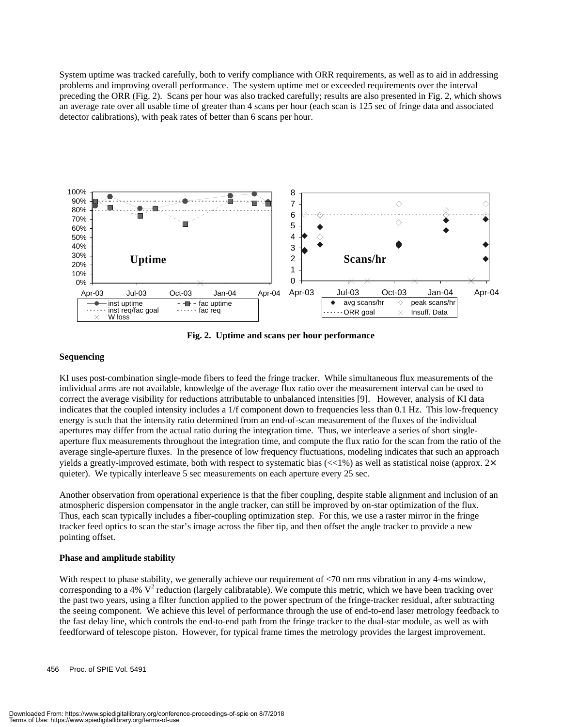System uptime was tracked carefully, both to verify compliance with ORR requirements, as well as to aid in addressing problems and improving overall performance. The system uptime met or exceeded requirements over the interval preceding the ORR (Fig. 2). Scans per hour was also tracked carefully; results are also presented in Fig. 2, which shows an average rate over all usable time of greater than 4 scans per hour (each scan is 125 sec of fringe data and associated detector calibrations), with peak rates of better than 6 scans per hour.



**Fig. 2. Uptime and scans per hour performance** 

#### **Sequencing**

KI uses post-combination single-mode fibers to feed the fringe tracker. While simultaneous flux measurements of the individual arms are not available, knowledge of the average flux ratio over the measurement interval can be used to correct the average visibility for reductions attributable to unbalanced intensities [9]. However, analysis of KI data indicates that the coupled intensity includes a 1/f component down to frequencies less than 0.1 Hz. This low-frequency energy is such that the intensity ratio determined from an end-of-scan measurement of the fluxes of the individual apertures may differ from the actual ratio during the integration time. Thus, we interleave a series of short singleaperture flux measurements throughout the integration time, and compute the flux ratio for the scan from the ratio of the average single-aperture fluxes. In the presence of low frequency fluctuations, modeling indicates that such an approach yields a greatly-improved estimate, both with respect to systematic bias  $\ll$  = 1%) as well as statistical noise (approx. 2 $\times$ quieter). We typically interleave 5 sec measurements on each aperture every 25 sec.

Another observation from operational experience is that the fiber coupling, despite stable alignment and inclusion of an atmospheric dispersion compensator in the angle tracker, can still be improved by on-star optimization of the flux. Thus, each scan typically includes a fiber-coupling optimization step. For this, we use a raster mirror in the fringe tracker feed optics to scan the star's image across the fiber tip, and then offset the angle tracker to provide a new pointing offset.

#### **Phase and amplitude stability**

With respect to phase stability, we generally achieve our requirement of  $\langle 70 \text{ nm} \rangle$  rms vibration in any 4-ms window, corresponding to a 4%  $V^2$  reduction (largely calibratable). We compute this metric, which we have been tracking over the past two years, using a filter function applied to the power spectrum of the fringe-tracker residual, after subtracting the seeing component. We achieve this level of performance through the use of end-to-end laser metrology feedback to the fast delay line, which controls the end-to-end path from the fringe tracker to the dual-star module, as well as with feedforward of telescope piston. However, for typical frame times the metrology provides the largest improvement.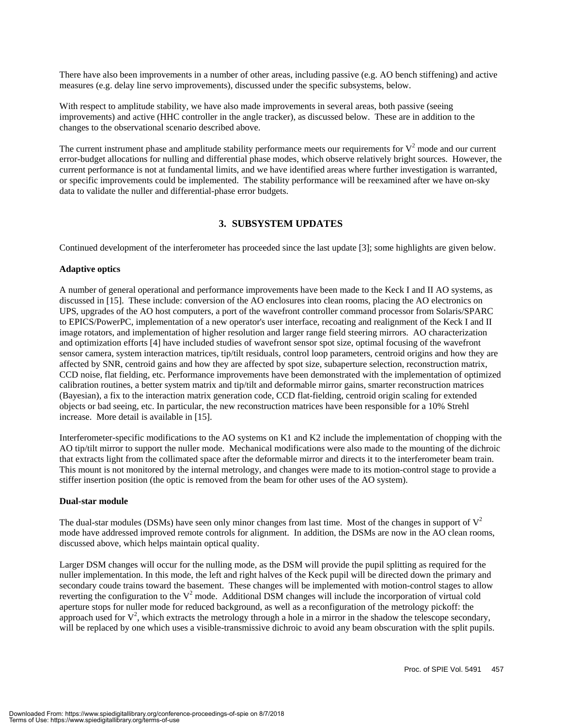There have also been improvements in a number of other areas, including passive (e.g. AO bench stiffening) and active measures (e.g. delay line servo improvements), discussed under the specific subsystems, below.

With respect to amplitude stability, we have also made improvements in several areas, both passive (seeing) improvements) and active (HHC controller in the angle tracker), as discussed below. These are in addition to the changes to the observational scenario described above.

The current instrument phase and amplitude stability performance meets our requirements for  $V^2$  mode and our current error-budget allocations for nulling and differential phase modes, which observe relatively bright sources. However, the current performance is not at fundamental limits, and we have identified areas where further investigation is warranted, or specific improvements could be implemented. The stability performance will be reexamined after we have on-sky data to validate the nuller and differential-phase error budgets.

#### **3. SUBSYSTEM UPDATES**

Continued development of the interferometer has proceeded since the last update [3]; some highlights are given below.

#### **Adaptive optics**

A number of general operational and performance improvements have been made to the Keck I and II AO systems, as discussed in [15]. These include: conversion of the AO enclosures into clean rooms, placing the AO electronics on UPS, upgrades of the AO host computers, a port of the wavefront controller command processor from Solaris/SPARC to EPICS/PowerPC, implementation of a new operator's user interface, recoating and realignment of the Keck I and II image rotators, and implementation of higher resolution and larger range field steering mirrors. AO characterization and optimization efforts [4] have included studies of wavefront sensor spot size, optimal focusing of the wavefront sensor camera, system interaction matrices, tip/tilt residuals, control loop parameters, centroid origins and how they are affected by SNR, centroid gains and how they are affected by spot size, subaperture selection, reconstruction matrix, CCD noise, flat fielding, etc. Performance improvements have been demonstrated with the implementation of optimized calibration routines, a better system matrix and tip/tilt and deformable mirror gains, smarter reconstruction matrices (Bayesian), a fix to the interaction matrix generation code, CCD flat-fielding, centroid origin scaling for extended objects or bad seeing, etc. In particular, the new reconstruction matrices have been responsible for a 10% Strehl increase. More detail is available in [15].

Interferometer-specific modifications to the AO systems on K1 and K2 include the implementation of chopping with the AO tip/tilt mirror to support the nuller mode. Mechanical modifications were also made to the mounting of the dichroic that extracts light from the collimated space after the deformable mirror and directs it to the interferometer beam train. This mount is not monitored by the internal metrology, and changes were made to its motion-control stage to provide a stiffer insertion position (the optic is removed from the beam for other uses of the AO system).

#### **Dual-star module**

The dual-star modules (DSMs) have seen only minor changes from last time. Most of the changes in support of  $V^2$ mode have addressed improved remote controls for alignment. In addition, the DSMs are now in the AO clean rooms, discussed above, which helps maintain optical quality.

Larger DSM changes will occur for the nulling mode, as the DSM will provide the pupil splitting as required for the nuller implementation. In this mode, the left and right halves of the Keck pupil will be directed down the primary and secondary coude trains toward the basement. These changes will be implemented with motion-control stages to allow reverting the configuration to the  $V^2$  mode. Additional DSM changes will include the incorporation of virtual cold aperture stops for nuller mode for reduced background, as well as a reconfiguration of the metrology pickoff: the approach used for  $V^2$ , which extracts the metrology through a hole in a mirror in the shadow the telescope secondary, will be replaced by one which uses a visible-transmissive dichroic to avoid any beam obscuration with the split pupils.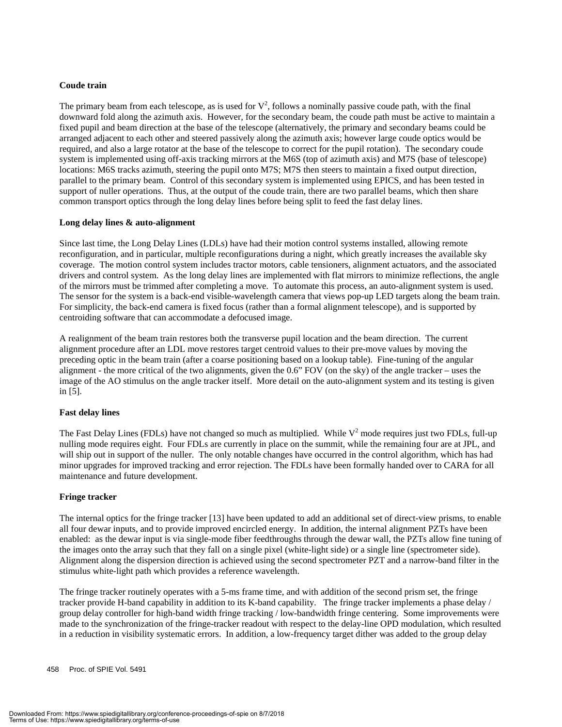#### **Coude train**

The primary beam from each telescope, as is used for  $V^2$ , follows a nominally passive coude path, with the final downward fold along the azimuth axis. However, for the secondary beam, the coude path must be active to maintain a fixed pupil and beam direction at the base of the telescope (alternatively, the primary and secondary beams could be arranged adjacent to each other and steered passively along the azimuth axis; however large coude optics would be required, and also a large rotator at the base of the telescope to correct for the pupil rotation). The secondary coude system is implemented using off-axis tracking mirrors at the M6S (top of azimuth axis) and M7S (base of telescope) locations: M6S tracks azimuth, steering the pupil onto M7S; M7S then steers to maintain a fixed output direction, parallel to the primary beam. Control of this secondary system is implemented using EPICS, and has been tested in support of nuller operations. Thus, at the output of the coude train, there are two parallel beams, which then share common transport optics through the long delay lines before being split to feed the fast delay lines.

#### **Long delay lines & auto-alignment**

Since last time, the Long Delay Lines (LDLs) have had their motion control systems installed, allowing remote reconfiguration, and in particular, multiple reconfigurations during a night, which greatly increases the available sky coverage. The motion control system includes tractor motors, cable tensioners, alignment actuators, and the associated drivers and control system. As the long delay lines are implemented with flat mirrors to minimize reflections, the angle of the mirrors must be trimmed after completing a move. To automate this process, an auto-alignment system is used. The sensor for the system is a back-end visible-wavelength camera that views pop-up LED targets along the beam train. For simplicity, the back-end camera is fixed focus (rather than a formal alignment telescope), and is supported by centroiding software that can accommodate a defocused image.

A realignment of the beam train restores both the transverse pupil location and the beam direction. The current alignment procedure after an LDL move restores target centroid values to their pre-move values by moving the preceding optic in the beam train (after a coarse positioning based on a lookup table). Fine-tuning of the angular alignment - the more critical of the two alignments, given the 0.6" FOV (on the sky) of the angle tracker – uses the image of the AO stimulus on the angle tracker itself. More detail on the auto-alignment system and its testing is given in [5].

#### **Fast delay lines**

The Fast Delay Lines (FDLs) have not changed so much as multiplied. While  $V^2$  mode requires just two FDLs, full-up nulling mode requires eight. Four FDLs are currently in place on the summit, while the remaining four are at JPL, and will ship out in support of the nuller. The only notable changes have occurred in the control algorithm, which has had minor upgrades for improved tracking and error rejection. The FDLs have been formally handed over to CARA for all maintenance and future development.

#### **Fringe tracker**

The internal optics for the fringe tracker [13] have been updated to add an additional set of direct-view prisms, to enable all four dewar inputs, and to provide improved encircled energy. In addition, the internal alignment PZTs have been enabled: as the dewar input is via single-mode fiber feedthroughs through the dewar wall, the PZTs allow fine tuning of the images onto the array such that they fall on a single pixel (white-light side) or a single line (spectrometer side). Alignment along the dispersion direction is achieved using the second spectrometer PZT and a narrow-band filter in the stimulus white-light path which provides a reference wavelength.

The fringe tracker routinely operates with a 5-ms frame time, and with addition of the second prism set, the fringe tracker provide H-band capability in addition to its K-band capability. The fringe tracker implements a phase delay / group delay controller for high-band width fringe tracking / low-bandwidth fringe centering. Some improvements were made to the synchronization of the fringe-tracker readout with respect to the delay-line OPD modulation, which resulted in a reduction in visibility systematic errors. In addition, a low-frequency target dither was added to the group delay

458 Proc. of SPIE Vol. 5491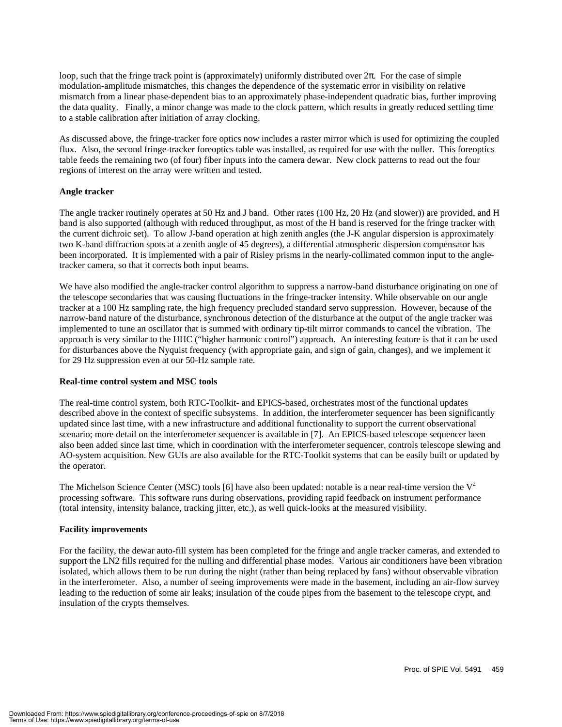loop, such that the fringe track point is (approximately) uniformly distributed over  $2\pi$ . For the case of simple modulation-amplitude mismatches, this changes the dependence of the systematic error in visibility on relative mismatch from a linear phase-dependent bias to an approximately phase-independent quadratic bias, further improving the data quality. Finally, a minor change was made to the clock pattern, which results in greatly reduced settling time to a stable calibration after initiation of array clocking.

As discussed above, the fringe-tracker fore optics now includes a raster mirror which is used for optimizing the coupled flux. Also, the second fringe-tracker foreoptics table was installed, as required for use with the nuller. This foreoptics table feeds the remaining two (of four) fiber inputs into the camera dewar. New clock patterns to read out the four regions of interest on the array were written and tested.

#### **Angle tracker**

The angle tracker routinely operates at 50 Hz and J band. Other rates (100 Hz, 20 Hz (and slower)) are provided, and H band is also supported (although with reduced throughput, as most of the H band is reserved for the fringe tracker with the current dichroic set). To allow J-band operation at high zenith angles (the J-K angular dispersion is approximately two K-band diffraction spots at a zenith angle of 45 degrees), a differential atmospheric dispersion compensator has been incorporated. It is implemented with a pair of Risley prisms in the nearly-collimated common input to the angletracker camera, so that it corrects both input beams.

We have also modified the angle-tracker control algorithm to suppress a narrow-band disturbance originating on one of the telescope secondaries that was causing fluctuations in the fringe-tracker intensity. While observable on our angle tracker at a 100 Hz sampling rate, the high frequency precluded standard servo suppression. However, because of the narrow-band nature of the disturbance, synchronous detection of the disturbance at the output of the angle tracker was implemented to tune an oscillator that is summed with ordinary tip-tilt mirror commands to cancel the vibration. The approach is very similar to the HHC ("higher harmonic control") approach. An interesting feature is that it can be used for disturbances above the Nyquist frequency (with appropriate gain, and sign of gain, changes), and we implement it for 29 Hz suppression even at our 50-Hz sample rate.

#### **Real-time control system and MSC tools**

The real-time control system, both RTC-Toolkit- and EPICS-based, orchestrates most of the functional updates described above in the context of specific subsystems. In addition, the interferometer sequencer has been significantly updated since last time, with a new infrastructure and additional functionality to support the current observational scenario; more detail on the interferometer sequencer is available in [7]. An EPICS-based telescope sequencer been also been added since last time, which in coordination with the interferometer sequencer, controls telescope slewing and AO-system acquisition. New GUIs are also available for the RTC-Toolkit systems that can be easily built or updated by the operator.

The Michelson Science Center (MSC) tools [6] have also been updated: notable is a near real-time version the  $V^2$ processing software. This software runs during observations, providing rapid feedback on instrument performance (total intensity, intensity balance, tracking jitter, etc.), as well quick-looks at the measured visibility.

#### **Facility improvements**

For the facility, the dewar auto-fill system has been completed for the fringe and angle tracker cameras, and extended to support the LN2 fills required for the nulling and differential phase modes. Various air conditioners have been vibration isolated, which allows them to be run during the night (rather than being replaced by fans) without observable vibration in the interferometer. Also, a number of seeing improvements were made in the basement, including an air-flow survey leading to the reduction of some air leaks; insulation of the coude pipes from the basement to the telescope crypt, and insulation of the crypts themselves.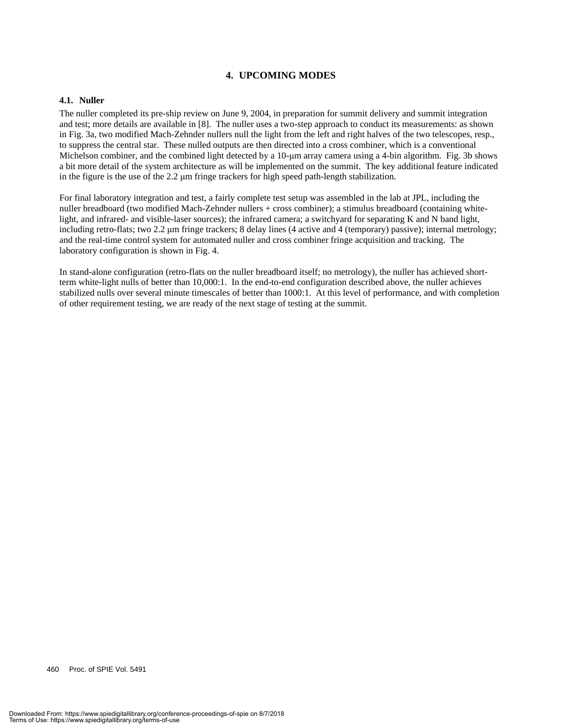#### **4. UPCOMING MODES**

#### **4.1. Nuller**

The nuller completed its pre-ship review on June 9, 2004, in preparation for summit delivery and summit integration and test; more details are available in [8]. The nuller uses a two-step approach to conduct its measurements: as shown in Fig. 3a, two modified Mach-Zehnder nullers null the light from the left and right halves of the two telescopes, resp., to suppress the central star. These nulled outputs are then directed into a cross combiner, which is a conventional Michelson combiner, and the combined light detected by a 10-µm array camera using a 4-bin algorithm. Fig. 3b shows a bit more detail of the system architecture as will be implemented on the summit. The key additional feature indicated in the figure is the use of the 2.2 µm fringe trackers for high speed path-length stabilization.

For final laboratory integration and test, a fairly complete test setup was assembled in the lab at JPL, including the nuller breadboard (two modified Mach-Zehnder nullers + cross combiner); a stimulus breadboard (containing whitelight, and infrared- and visible-laser sources); the infrared camera; a switchyard for separating K and N band light, including retro-flats; two 2.2 µm fringe trackers; 8 delay lines (4 active and 4 (temporary) passive); internal metrology; and the real-time control system for automated nuller and cross combiner fringe acquisition and tracking. The laboratory configuration is shown in Fig. 4.

In stand-alone configuration (retro-flats on the nuller breadboard itself; no metrology), the nuller has achieved shortterm white-light nulls of better than 10,000:1. In the end-to-end configuration described above, the nuller achieves stabilized nulls over several minute timescales of better than 1000:1. At this level of performance, and with completion of other requirement testing, we are ready of the next stage of testing at the summit.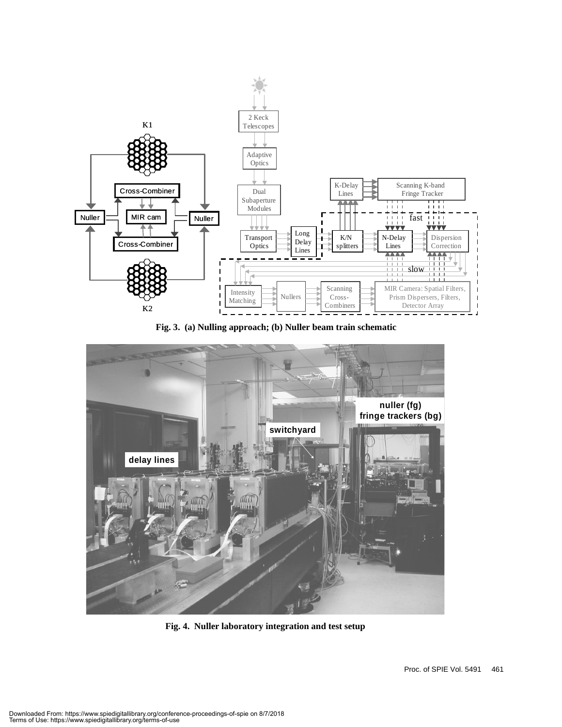

**Fig. 3. (a) Nulling approach; (b) Nuller beam train schematic** 



**Fig. 4. Nuller laboratory integration and test setup**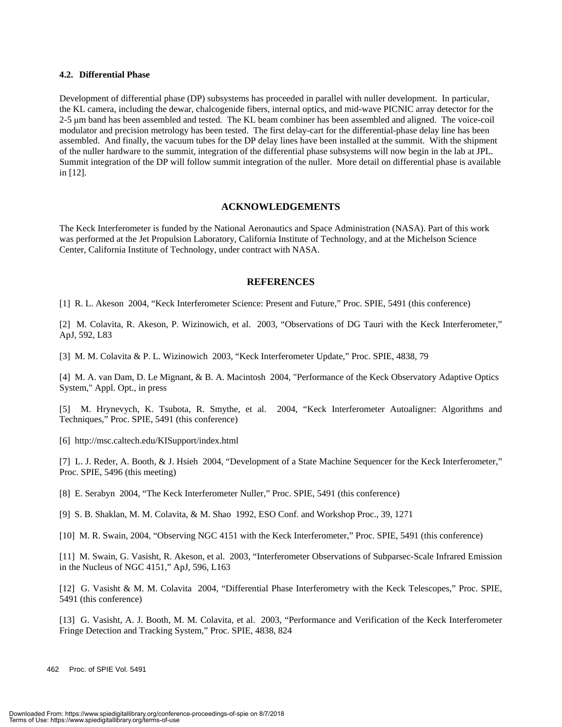#### **4.2. Differential Phase**

Development of differential phase (DP) subsystems has proceeded in parallel with nuller development. In particular, the KL camera, including the dewar, chalcogenide fibers, internal optics, and mid-wave PICNIC array detector for the 2-5 µm band has been assembled and tested. The KL beam combiner has been assembled and aligned. The voice-coil modulator and precision metrology has been tested. The first delay-cart for the differential-phase delay line has been assembled. And finally, the vacuum tubes for the DP delay lines have been installed at the summit. With the shipment of the nuller hardware to the summit, integration of the differential phase subsystems will now begin in the lab at JPL. Summit integration of the DP will follow summit integration of the nuller. More detail on differential phase is available in [12].

#### **ACKNOWLEDGEMENTS**

The Keck Interferometer is funded by the National Aeronautics and Space Administration (NASA). Part of this work was performed at the Jet Propulsion Laboratory, California Institute of Technology, and at the Michelson Science Center, California Institute of Technology, under contract with NASA.

#### **REFERENCES**

[1] R. L. Akeson 2004, "Keck Interferometer Science: Present and Future," Proc. SPIE, 5491 (this conference)

[2] M. Colavita, R. Akeson, P. Wizinowich, et al. 2003, "Observations of DG Tauri with the Keck Interferometer," ApJ, 592, L83

[3] M. M. Colavita & P. L. Wizinowich 2003, "Keck Interferometer Update," Proc. SPIE, 4838, 79

[4] M. A. van Dam, D. Le Mignant, & B. A. Macintosh 2004, "Performance of the Keck Observatory Adaptive Optics System," Appl. Opt., in press

[5] M. Hrynevych, K. Tsubota, R. Smythe, et al. 2004, "Keck Interferometer Autoaligner: Algorithms and Techniques," Proc. SPIE, 5491 (this conference)

[6] http://msc.caltech.edu/KISupport/index.html

[7] L. J. Reder, A. Booth, & J. Hsieh 2004, "Development of a State Machine Sequencer for the Keck Interferometer," Proc. SPIE, 5496 (this meeting)

[8] E. Serabyn 2004, "The Keck Interferometer Nuller," Proc. SPIE, 5491 (this conference)

[9] S. B. Shaklan, M. M. Colavita, & M. Shao 1992, ESO Conf. and Workshop Proc., 39, 1271

[10] M. R. Swain, 2004, "Observing NGC 4151 with the Keck Interferometer," Proc. SPIE, 5491 (this conference)

[11] M. Swain, G. Vasisht, R. Akeson, et al. 2003, "Interferometer Observations of Subparsec-Scale Infrared Emission in the Nucleus of NGC 4151," ApJ, 596, L163

[12] G. Vasisht & M. M. Colavita 2004, "Differential Phase Interferometry with the Keck Telescopes," Proc. SPIE, 5491 (this conference)

[13] G. Vasisht, A. J. Booth, M. M. Colavita, et al. 2003, "Performance and Verification of the Keck Interferometer Fringe Detection and Tracking System," Proc. SPIE, 4838, 824

462 Proc. of SPIE Vol. 5491